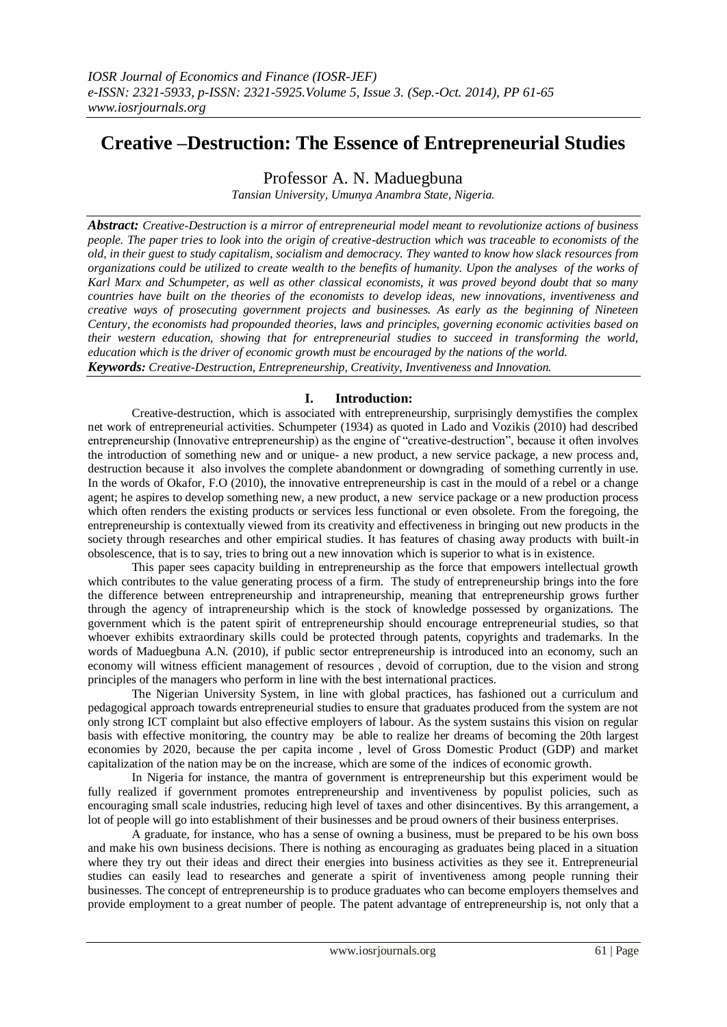# **Creative –Destruction: The Essence of Entrepreneurial Studies**

Professor A. N. Maduegbuna

*Tansian University, Umunya Anambra State, Nigeria.*

*Abstract: Creative-Destruction is a mirror of entrepreneurial model meant to revolutionize actions of business people. The paper tries to look into the origin of creative-destruction which was traceable to economists of the old, in their guest to study capitalism, socialism and democracy. They wanted to know how slack resources from organizations could be utilized to create wealth to the benefits of humanity. Upon the analyses of the works of Karl Marx and Schumpeter, as well as other classical economists, it was proved beyond doubt that so many countries have built on the theories of the economists to develop ideas, new innovations, inventiveness and creative ways of prosecuting government projects and businesses. As early as the beginning of Nineteen Century, the economists had propounded theories, laws and principles, governing economic activities based on their western education, showing that for entrepreneurial studies to succeed in transforming the world, education which is the driver of economic growth must be encouraged by the nations of the world. Keywords: Creative-Destruction, Entrepreneurship, Creativity, Inventiveness and Innovation.*

# **I. Introduction:**

Creative-destruction, which is associated with entrepreneurship, surprisingly demystifies the complex net work of entrepreneurial activities. Schumpeter (1934) as quoted in Lado and Vozikis (2010) had described entrepreneurship (Innovative entrepreneurship) as the engine of "creative-destruction", because it often involves the introduction of something new and or unique- a new product, a new service package, a new process and, destruction because it also involves the complete abandonment or downgrading of something currently in use. In the words of Okafor, F.O (2010), the innovative entrepreneurship is cast in the mould of a rebel or a change agent; he aspires to develop something new, a new product, a new service package or a new production process which often renders the existing products or services less functional or even obsolete. From the foregoing, the entrepreneurship is contextually viewed from its creativity and effectiveness in bringing out new products in the society through researches and other empirical studies. It has features of chasing away products with built-in obsolescence, that is to say, tries to bring out a new innovation which is superior to what is in existence.

This paper sees capacity building in entrepreneurship as the force that empowers intellectual growth which contributes to the value generating process of a firm. The study of entrepreneurship brings into the fore the difference between entrepreneurship and intrapreneurship, meaning that entrepreneurship grows further through the agency of intrapreneurship which is the stock of knowledge possessed by organizations. The government which is the patent spirit of entrepreneurship should encourage entrepreneurial studies, so that whoever exhibits extraordinary skills could be protected through patents, copyrights and trademarks. In the words of Maduegbuna A.N. (2010), if public sector entrepreneurship is introduced into an economy, such an economy will witness efficient management of resources , devoid of corruption, due to the vision and strong principles of the managers who perform in line with the best international practices.

The Nigerian University System, in line with global practices, has fashioned out a curriculum and pedagogical approach towards entrepreneurial studies to ensure that graduates produced from the system are not only strong ICT complaint but also effective employers of labour. As the system sustains this vision on regular basis with effective monitoring, the country may be able to realize her dreams of becoming the 20th largest economies by 2020, because the per capita income , level of Gross Domestic Product (GDP) and market capitalization of the nation may be on the increase, which are some of the indices of economic growth.

In Nigeria for instance, the mantra of government is entrepreneurship but this experiment would be fully realized if government promotes entrepreneurship and inventiveness by populist policies, such as encouraging small scale industries, reducing high level of taxes and other disincentives. By this arrangement, a lot of people will go into establishment of their businesses and be proud owners of their business enterprises.

A graduate, for instance, who has a sense of owning a business, must be prepared to be his own boss and make his own business decisions. There is nothing as encouraging as graduates being placed in a situation where they try out their ideas and direct their energies into business activities as they see it. Entrepreneurial studies can easily lead to researches and generate a spirit of inventiveness among people running their businesses. The concept of entrepreneurship is to produce graduates who can become employers themselves and provide employment to a great number of people. The patent advantage of entrepreneurship is, not only that a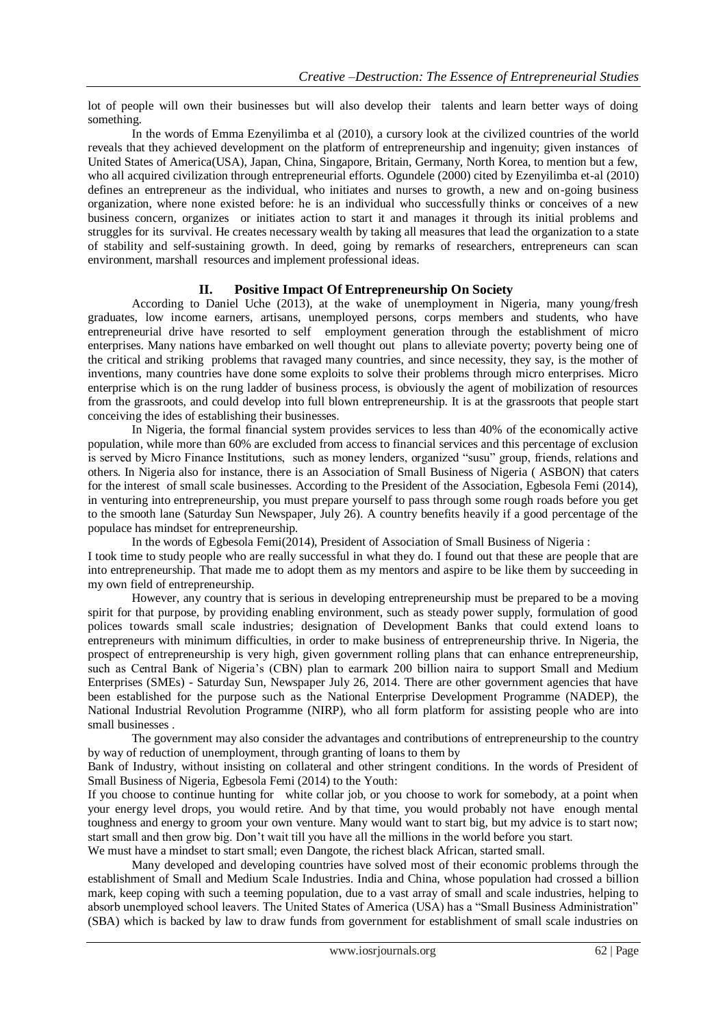lot of people will own their businesses but will also develop their talents and learn better ways of doing something.

In the words of Emma Ezenyilimba et al (2010), a cursory look at the civilized countries of the world reveals that they achieved development on the platform of entrepreneurship and ingenuity; given instances of United States of America(USA), Japan, China, Singapore, Britain, Germany, North Korea, to mention but a few, who all acquired civilization through entrepreneurial efforts. Ogundele (2000) cited by Ezenyilimba et-al (2010) defines an entrepreneur as the individual, who initiates and nurses to growth, a new and on-going business organization, where none existed before: he is an individual who successfully thinks or conceives of a new business concern, organizes or initiates action to start it and manages it through its initial problems and struggles for its survival. He creates necessary wealth by taking all measures that lead the organization to a state of stability and self-sustaining growth. In deed, going by remarks of researchers, entrepreneurs can scan environment, marshall resources and implement professional ideas.

## **II. Positive Impact Of Entrepreneurship On Society**

According to Daniel Uche (2013), at the wake of unemployment in Nigeria, many young/fresh graduates, low income earners, artisans, unemployed persons, corps members and students, who have entrepreneurial drive have resorted to self employment generation through the establishment of micro enterprises. Many nations have embarked on well thought out plans to alleviate poverty; poverty being one of the critical and striking problems that ravaged many countries, and since necessity, they say, is the mother of inventions, many countries have done some exploits to solve their problems through micro enterprises. Micro enterprise which is on the rung ladder of business process, is obviously the agent of mobilization of resources from the grassroots, and could develop into full blown entrepreneurship. It is at the grassroots that people start conceiving the ides of establishing their businesses.

In Nigeria, the formal financial system provides services to less than 40% of the economically active population, while more than 60% are excluded from access to financial services and this percentage of exclusion is served by Micro Finance Institutions, such as money lenders, organized "susu" group, friends, relations and others. In Nigeria also for instance, there is an Association of Small Business of Nigeria ( ASBON) that caters for the interest of small scale businesses. According to the President of the Association, Egbesola Femi (2014), in venturing into entrepreneurship, you must prepare yourself to pass through some rough roads before you get to the smooth lane (Saturday Sun Newspaper, July 26). A country benefits heavily if a good percentage of the populace has mindset for entrepreneurship.

In the words of Egbesola Femi(2014), President of Association of Small Business of Nigeria : I took time to study people who are really successful in what they do. I found out that these are people that are into entrepreneurship. That made me to adopt them as my mentors and aspire to be like them by succeeding in my own field of entrepreneurship.

However, any country that is serious in developing entrepreneurship must be prepared to be a moving spirit for that purpose, by providing enabling environment, such as steady power supply, formulation of good polices towards small scale industries; designation of Development Banks that could extend loans to entrepreneurs with minimum difficulties, in order to make business of entrepreneurship thrive. In Nigeria, the prospect of entrepreneurship is very high, given government rolling plans that can enhance entrepreneurship, such as Central Bank of Nigeria's (CBN) plan to earmark 200 billion naira to support Small and Medium Enterprises (SMEs) - Saturday Sun, Newspaper July 26, 2014. There are other government agencies that have been established for the purpose such as the National Enterprise Development Programme (NADEP), the National Industrial Revolution Programme (NIRP), who all form platform for assisting people who are into small businesses .

The government may also consider the advantages and contributions of entrepreneurship to the country by way of reduction of unemployment, through granting of loans to them by

Bank of Industry, without insisting on collateral and other stringent conditions. In the words of President of Small Business of Nigeria, Egbesola Femi (2014) to the Youth:

If you choose to continue hunting for white collar job, or you choose to work for somebody, at a point when your energy level drops, you would retire. And by that time, you would probably not have enough mental toughness and energy to groom your own venture. Many would want to start big, but my advice is to start now; start small and then grow big. Don"t wait till you have all the millions in the world before you start. We must have a mindset to start small; even Dangote, the richest black African, started small.

Many developed and developing countries have solved most of their economic problems through the establishment of Small and Medium Scale Industries. India and China, whose population had crossed a billion mark, keep coping with such a teeming population, due to a vast array of small and scale industries, helping to absorb unemployed school leavers. The United States of America (USA) has a "Small Business Administration" (SBA) which is backed by law to draw funds from government for establishment of small scale industries on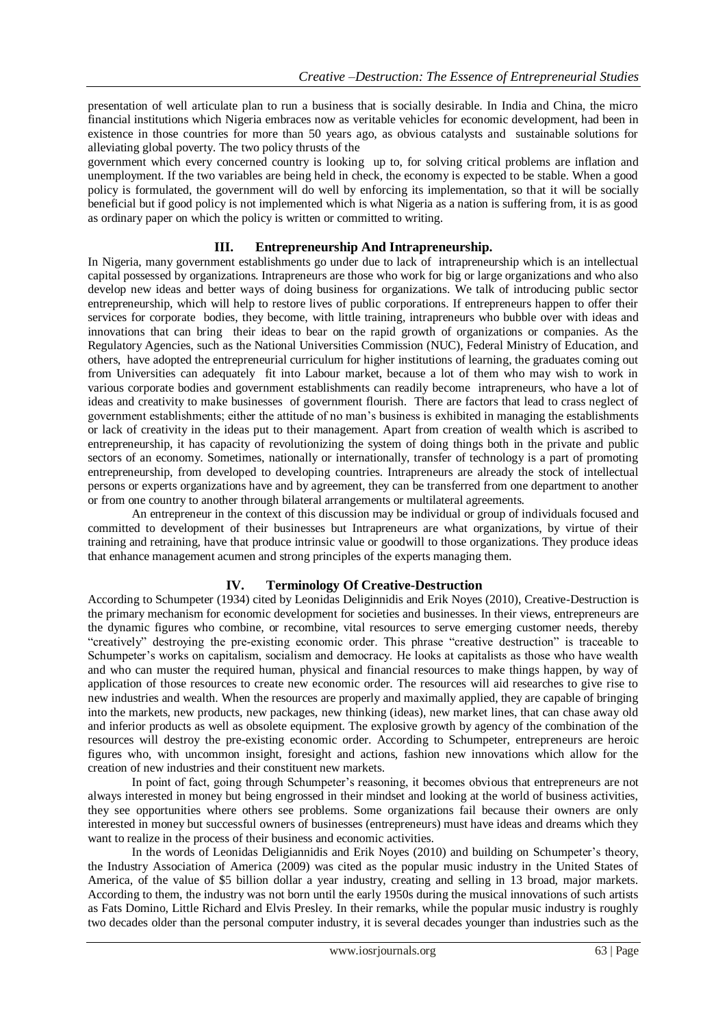presentation of well articulate plan to run a business that is socially desirable. In India and China, the micro financial institutions which Nigeria embraces now as veritable vehicles for economic development, had been in existence in those countries for more than 50 years ago, as obvious catalysts and sustainable solutions for alleviating global poverty. The two policy thrusts of the

government which every concerned country is looking up to, for solving critical problems are inflation and unemployment. If the two variables are being held in check, the economy is expected to be stable. When a good policy is formulated, the government will do well by enforcing its implementation, so that it will be socially beneficial but if good policy is not implemented which is what Nigeria as a nation is suffering from, it is as good as ordinary paper on which the policy is written or committed to writing.

## **III. Entrepreneurship And Intrapreneurship.**

In Nigeria, many government establishments go under due to lack of intrapreneurship which is an intellectual capital possessed by organizations. Intrapreneurs are those who work for big or large organizations and who also develop new ideas and better ways of doing business for organizations. We talk of introducing public sector entrepreneurship, which will help to restore lives of public corporations. If entrepreneurs happen to offer their services for corporate bodies, they become, with little training, intrapreneurs who bubble over with ideas and innovations that can bring their ideas to bear on the rapid growth of organizations or companies. As the Regulatory Agencies, such as the National Universities Commission (NUC), Federal Ministry of Education, and others, have adopted the entrepreneurial curriculum for higher institutions of learning, the graduates coming out from Universities can adequately fit into Labour market, because a lot of them who may wish to work in various corporate bodies and government establishments can readily become intrapreneurs, who have a lot of ideas and creativity to make businesses of government flourish. There are factors that lead to crass neglect of government establishments; either the attitude of no man"s business is exhibited in managing the establishments or lack of creativity in the ideas put to their management. Apart from creation of wealth which is ascribed to entrepreneurship, it has capacity of revolutionizing the system of doing things both in the private and public sectors of an economy. Sometimes, nationally or internationally, transfer of technology is a part of promoting entrepreneurship, from developed to developing countries. Intrapreneurs are already the stock of intellectual persons or experts organizations have and by agreement, they can be transferred from one department to another or from one country to another through bilateral arrangements or multilateral agreements.

An entrepreneur in the context of this discussion may be individual or group of individuals focused and committed to development of their businesses but Intrapreneurs are what organizations, by virtue of their training and retraining, have that produce intrinsic value or goodwill to those organizations. They produce ideas that enhance management acumen and strong principles of the experts managing them.

# **IV. Terminology Of Creative-Destruction**

According to Schumpeter (1934) cited by Leonidas Deliginnidis and Erik Noyes (2010), Creative-Destruction is the primary mechanism for economic development for societies and businesses. In their views, entrepreneurs are the dynamic figures who combine, or recombine, vital resources to serve emerging customer needs, thereby "creatively" destroying the pre-existing economic order. This phrase "creative destruction" is traceable to Schumpeter's works on capitalism, socialism and democracy. He looks at capitalists as those who have wealth and who can muster the required human, physical and financial resources to make things happen, by way of application of those resources to create new economic order. The resources will aid researches to give rise to new industries and wealth. When the resources are properly and maximally applied, they are capable of bringing into the markets, new products, new packages, new thinking (ideas), new market lines, that can chase away old and inferior products as well as obsolete equipment. The explosive growth by agency of the combination of the resources will destroy the pre-existing economic order. According to Schumpeter, entrepreneurs are heroic figures who, with uncommon insight, foresight and actions, fashion new innovations which allow for the creation of new industries and their constituent new markets.

In point of fact, going through Schumpeter's reasoning, it becomes obvious that entrepreneurs are not always interested in money but being engrossed in their mindset and looking at the world of business activities, they see opportunities where others see problems. Some organizations fail because their owners are only interested in money but successful owners of businesses (entrepreneurs) must have ideas and dreams which they want to realize in the process of their business and economic activities.

In the words of Leonidas Deligiannidis and Erik Noyes (2010) and building on Schumpeter"s theory, the Industry Association of America (2009) was cited as the popular music industry in the United States of America, of the value of \$5 billion dollar a year industry, creating and selling in 13 broad, major markets. According to them, the industry was not born until the early 1950s during the musical innovations of such artists as Fats Domino, Little Richard and Elvis Presley. In their remarks, while the popular music industry is roughly two decades older than the personal computer industry, it is several decades younger than industries such as the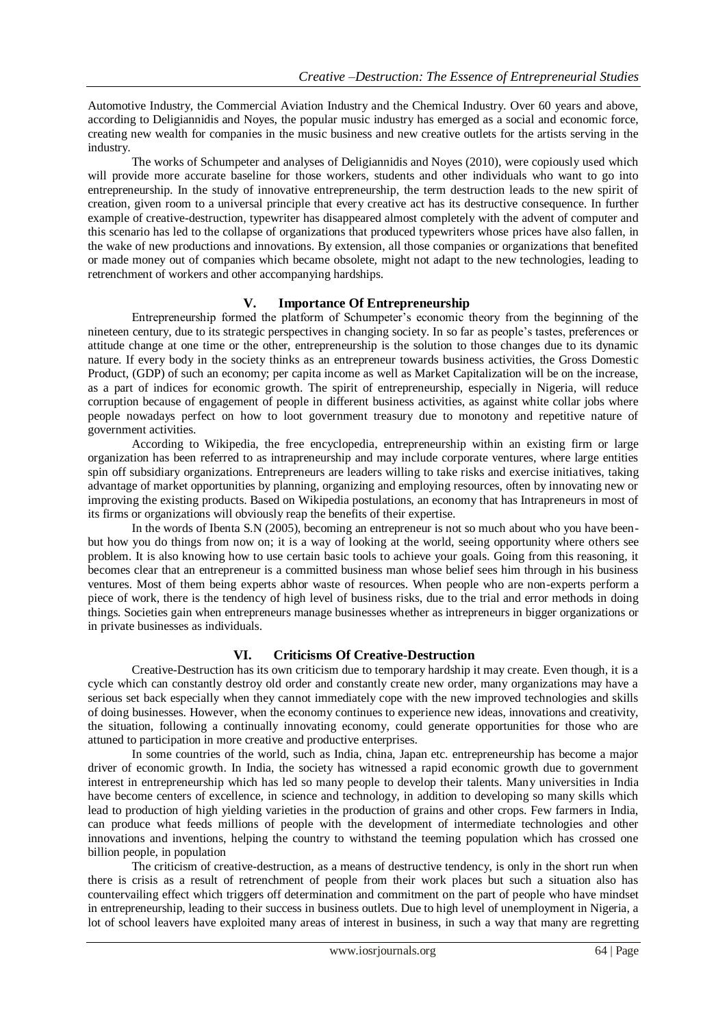Automotive Industry, the Commercial Aviation Industry and the Chemical Industry. Over 60 years and above, according to Deligiannidis and Noyes, the popular music industry has emerged as a social and economic force, creating new wealth for companies in the music business and new creative outlets for the artists serving in the industry.

The works of Schumpeter and analyses of Deligiannidis and Noyes (2010), were copiously used which will provide more accurate baseline for those workers, students and other individuals who want to go into entrepreneurship. In the study of innovative entrepreneurship, the term destruction leads to the new spirit of creation, given room to a universal principle that every creative act has its destructive consequence. In further example of creative-destruction, typewriter has disappeared almost completely with the advent of computer and this scenario has led to the collapse of organizations that produced typewriters whose prices have also fallen, in the wake of new productions and innovations. By extension, all those companies or organizations that benefited or made money out of companies which became obsolete, might not adapt to the new technologies, leading to retrenchment of workers and other accompanying hardships.

### **V. Importance Of Entrepreneurship**

Entrepreneurship formed the platform of Schumpeter"s economic theory from the beginning of the nineteen century, due to its strategic perspectives in changing society. In so far as people"s tastes, preferences or attitude change at one time or the other, entrepreneurship is the solution to those changes due to its dynamic nature. If every body in the society thinks as an entrepreneur towards business activities, the Gross Domestic Product, (GDP) of such an economy; per capita income as well as Market Capitalization will be on the increase, as a part of indices for economic growth. The spirit of entrepreneurship, especially in Nigeria, will reduce corruption because of engagement of people in different business activities, as against white collar jobs where people nowadays perfect on how to loot government treasury due to monotony and repetitive nature of government activities.

According to Wikipedia, the free encyclopedia, entrepreneurship within an existing firm or large organization has been referred to as intrapreneurship and may include corporate ventures, where large entities spin off subsidiary organizations. Entrepreneurs are leaders willing to take risks and exercise initiatives, taking advantage of market opportunities by planning, organizing and employing resources, often by innovating new or improving the existing products. Based on Wikipedia postulations, an economy that has Intrapreneurs in most of its firms or organizations will obviously reap the benefits of their expertise.

In the words of Ibenta S.N (2005), becoming an entrepreneur is not so much about who you have beenbut how you do things from now on; it is a way of looking at the world, seeing opportunity where others see problem. It is also knowing how to use certain basic tools to achieve your goals. Going from this reasoning, it becomes clear that an entrepreneur is a committed business man whose belief sees him through in his business ventures. Most of them being experts abhor waste of resources. When people who are non-experts perform a piece of work, there is the tendency of high level of business risks, due to the trial and error methods in doing things. Societies gain when entrepreneurs manage businesses whether as intrepreneurs in bigger organizations or in private businesses as individuals.

## **VI. Criticisms Of Creative-Destruction**

Creative-Destruction has its own criticism due to temporary hardship it may create. Even though, it is a cycle which can constantly destroy old order and constantly create new order, many organizations may have a serious set back especially when they cannot immediately cope with the new improved technologies and skills of doing businesses. However, when the economy continues to experience new ideas, innovations and creativity, the situation, following a continually innovating economy, could generate opportunities for those who are attuned to participation in more creative and productive enterprises.

In some countries of the world, such as India, china, Japan etc. entrepreneurship has become a major driver of economic growth. In India, the society has witnessed a rapid economic growth due to government interest in entrepreneurship which has led so many people to develop their talents. Many universities in India have become centers of excellence, in science and technology, in addition to developing so many skills which lead to production of high yielding varieties in the production of grains and other crops. Few farmers in India, can produce what feeds millions of people with the development of intermediate technologies and other innovations and inventions, helping the country to withstand the teeming population which has crossed one billion people, in population

The criticism of creative-destruction, as a means of destructive tendency, is only in the short run when there is crisis as a result of retrenchment of people from their work places but such a situation also has countervailing effect which triggers off determination and commitment on the part of people who have mindset in entrepreneurship, leading to their success in business outlets. Due to high level of unemployment in Nigeria, a lot of school leavers have exploited many areas of interest in business, in such a way that many are regretting